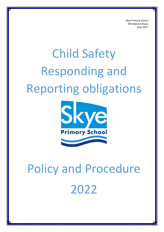Skye Primary School 395 Ballarto Road, Skye 3977

# Child Safety Responding and Reporting obligations



# Policy and Procedure 2022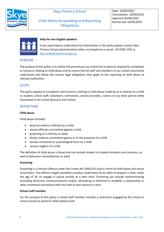



## **Help for non-English speakers**

If you need help to understand the information in this policy please contact Skye Primary School administration either via telephone or email. 03 9786 1555 or [skye.ps@education.vic.gov.au](mailto:skye.ps@education.vic.gov.au)

## PURPOSE

The purpose of this policy is to outline the procedures our school has in place to respond to complaints or concerns relating to child abuse and to ensure that all staff and members of our school community understand and follow the various legal obligations that apply to the reporting of child abuse to relevant authorities.

## **SCOPE**

This policy applies to complaints and concerns relating to child abuse made by or in relation to a child or student, school staff, volunteers, contractors, service providers, visitors or any other person while connected to the school (physical and online).

## **DEFINITIONS**

#### **Child abuse**

Child abuse includes:

- physical violence inflicted on a child
- sexual offences committed against a child
- grooming of a child by an adult
- family violence committed against or in the presence of a child
- serious emotional or psychological harm to a child
- serious neglect of a child.

The definition of child abuse is broad and can include student to student incidents and concerns, as well as behaviour committed by an adult.

#### **Grooming**

Grooming is a criminal offence under the *Crimes Act 1958* (Vic) and is a form of child abuse and sexual misconduct. This offence targets predatory conduct undertaken by an adult to prepare a child, under the age of 16, to engage in sexual activity at a later time. Grooming can include communicating (including electronic communications) and/or attempting to befriend or establish a relationship or other emotional connection with the child or their parent or carer.

#### **School staff member**

For the purpose of this policy a school staff member includes a contractor engaged by the school or school council to perform child-related work.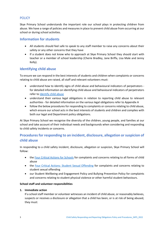# **POLICY**

Skye Primary School understands the important role our school plays in protecting children from abuse. We have a range of policies and measures in place to prevent child abuse from occurring at our school or during school activities.

## **Information for students**

- All students should feel safe to speak to any staff member to raise any concerns about their safety or any other concerns that they have
- If a student does not know who to approach at Skye Primary School they should start with teacher or a member of school leadership (Cherie Bradley, Jane Briffa, Lisa Male and Jenny Kelly).

# **Identifying child abuse**

To ensure we can respond in the best interests of students and children when complaints or concerns relating to child abuse are raised, all staff and relevant volunteers must:

- understand how to identify signs of child abuse and behavioural indicators of perpetrators for detailed information on identifying child abuse and behavioural indicators of perpetrators refer to [Identify child abuse](https://www.education.vic.gov.au/school/teachers/health/childprotection/Pages/identify.aspx)
- understand their various legal obligations in relation to reporting child abuse to relevant authorities - for detailed information on the various legal obligations refer to Appendix A
- follow the below procedures for responding to complaints or concerns relating to child abuse, which ensure our school acts in the best interests of students and children and complies with both our legal and Department policy obligations.

At Skye Primary School we recognise the diversity of the children, young people, and families at our school and take account of their individual needs and backgrounds when considering and responding to child safety incidents or concerns.

# **Procedures for responding to an incident, disclosure, allegation or suspicion of child abuse**

In responding to a child safety incident, disclosure, allegation or suspicion, Skye Primary School will follow:

- th[e Four Critical Actions for Schools](https://www.education.vic.gov.au/Documents/about/programs/health/protect/FourCriticalActions_ChildAbuse.pdf) for complaints and concerns relating to all forms of child abuse
- the [Four Critical Actions: Student Sexual Offending](https://www.education.vic.gov.au/school/teachers/health/childprotection/Pages/stusexual.aspx) for complaints and concerns relating to student sexual offending
- our Student Wellbeing and Engagement Policy and Bullying Prevention Policy for complaints and concerns relating to student physical violence or other harmful student behaviours.

## **School staff and volunteer responsibilities**

#### **1. Immediate action**

If a school staff member or volunteer witnesses an incident of child abuse, or reasonably believes, suspects or receives a disclosure or allegation that a child has been, or is at risk of being abused, they must: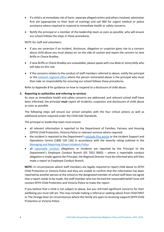- If a child is at immediate risk of harm, separate alleged victims and others involved, administer first aid (appropriate to their level of training) and call 000 for urgent medical or police assistance where required to respond to immediate health or safety concerns.
- Notify the principal or a member of the leadership team as soon as possible, who will ensure our school follows the steps in these procedures.

NOTE for staff and volunteers:

- if you are uncertain if an incident, disclosure, allegation or suspicion gives rise to a concern about child abuse you must always err on the side of caution and report the concern to Jane Briffa or Cherie Bradley
- if Jane Briffa or Cherie Bradley are unavailable, please speak with Lisa Male or Jenny Kelly who will take on this role
- if the concerns relates to the conduct of staff members referred to above, notify the principal or the relevant [regional office](https://www.vic.gov.au/contact-us-department-education-and-training#regional-office-contact-list) where the person nominated above is the principal who must then take on responsibility for ensuring our school follows these procedures.

Refer to Appendix B for guidance on how to respond to a disclosure of child abuse.

#### **2. Reporting to authorities and referring to services**

As soon as immediate health and safety concerns are addressed, and relevant school staff have been informed, the principal **must** report all incidents, suspicions and disclosures of child abuse as soon as possible.

The following steps will ensure our school complies with the four critical actions as well as additional actions required under the Child Safe Standards.

The principal or leadership team must ensure:

- all relevant information is reported to the Department of Families, Fairness and Housing (DFFH) Child Protection, Victoria Police or relevant services where required
- the incident is reported to the Department's [eduSafe Plus portal](https://services.educationapps.vic.gov.au/edusafeplus) or the Incident Support and Operations Centre (1800 126 126) in accordance with the severity rating outlined in the [Managing and Reporting School Incidents Policy](https://www2.education.vic.gov.au/pal/reporting-and-managing-school-incidents-including-emergencies/policy)
- all [reportable conduct](https://www2.education.vic.gov.au/pal/reportable-conduct-scheme/policy) allegations or incidents are reported by the Principal to the Department's Employee Conduct Branch (03 7022 0005) – where a reportable conduct allegation is made against the Principal, the Regional Director must be informed who will then make a report to Employee Conduct Branch.

**NOTE:** In circumstances where staff members are legally required to report child abuse to DFFH Child Protection or Victoria Police and they are unable to confirm that the information has been reported by another person at the school or the designated member of school staff does not agree that a report needs to be made, the staff member who has formed the reasonable belief must still contact DFFH Child Protection and Victoria Police to make the report.

If you believe that a child is not subject to abuse, but you still hold significant concerns for their wellbeing you must still act. This may include making a referral or seeking advice from Child FIRST or The Orange Door (in circumstances where the family are open to receiving support) DFFH Child Protection or Victoria Police.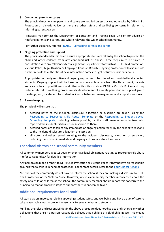#### **3. Contacting parents or carers**

The principal must ensure parents and carers are notified unless advised otherwise by DFFH Child Protection or Victoria Police, or there are other safety and wellbeing concerns in relation to informing parents/carers.

Principals may contact the Department of Education and Training Legal Division for advice on notifying parents and carers, and where relevant, the wider school community.

For further guidance, refer to [PROTECT Contacting parents and carers](https://www.education.vic.gov.au/school/teachers/health/childprotection/Pages/actionthree.aspx)

#### **4. Ongoing protection and support**

The principal and leadership team ensure appropriate steps are taken by the school to protect the child and other children from any continued risk of abuse. These steps must be taken in consultation with any relevant external agency or Department staff such as DFFH Child Protection, Victoria Police, Legal Division or Employee Conduct Branch. Ongoing protection will also include further reports to authorities if new information comes to light or further incidents occur.

Appropriate, culturally sensitive and ongoing support must be offered and provided to all affected students. Ongoing support will be based on any available advice from the Department, parents and carers, health practitioners, and other authorities (such as DFFH or Victoria Police) and may include referral to wellbeing professionals, development of a safety plan, student support group meetings, and, for student to student incidents, behaviour management and support measures.

#### **5. Recordkeeping**

The principal will ensure that:

- detailed notes of the incident, disclosure, allegation or suspicion are taken using the [Responding to Suspected Child Abuse: Template](https://www.education.vic.gov.au/Documents/about/programs/health/protect/PROTECT_Schoolstemplate.pdf) or the [Responding to Student Sexual](https://www.education.vic.gov.au/Documents/about/programs/health/protect/SSO_ReportingTemplate.docx)  [Offending: template\]](https://www.education.vic.gov.au/Documents/about/programs/health/protect/SSO_ReportingTemplate.docx) including, where possible, by the staff member or volunteer who reported the incident, disclosure, or suspicion to them
- detailed notes are taken of any immediate or ongoing action taken by the school to respond to the incident, disclosure, allegation or suspicion
- all notes and other records relating to the incident, disclosure, allegation or suspicion, including the schools immediate and ongoing actions, are stored securely.

## **For school visitors and school community members**

All community members aged 18 years or over have legal obligations relating to reporting child abuse – refer to Appendix A for detailed information.

Any person can make a report to DFFH Child Protection or Victoria Police if they believe on reasonable grounds that a child is in need of protection. For contact details, refer to the [Four Critical Actions.](https://www.education.vic.gov.au/Documents/about/programs/health/protect/FourCriticalActions_ChildAbuse.pdf)

Members of the community do not have to inform the school if they are making a disclosure to DFFH Child Protection or the Victoria Police. However, where a community member is concerned about the safety of a child or children at the school, the community member should report this concern to the principal so that appropriate steps to support the student can be taken

# **Additional requirements for all staff**

All staff play an important role in supporting student safety and wellbeing and have a duty of care to take reasonable steps to prevent reasonably foreseeable harm to students.

Fulfilling the roles and responsibilities in the above procedure does not displace or discharge any other obligations that arise if a person reasonably believes that a child is at risk of child abuse. This means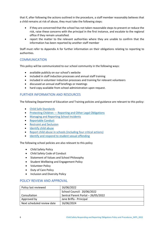that if, after following the actions outlined in the procedure, a staff member reasonably believes that a child remains at risk of abuse, they must take the following steps:

- if they are concerned that the school has not taken reasonable steps to prevent or reduce the risk, raise these concerns with the principal in the first instance, and escalate to the regional office if they remain unsatisfied.
- report the matter to the relevant authorities where they are unable to confirm that the information has been reported by another staff member

Staff must refer to Appendix A for further information on their obligations relating to reporting to authorities.

## COMMUNICATION

This policy will be communicated to our school community in the following ways:

- available publicly on our school's website
- included in staff induction processes and annual staff training
- included in volunteer induction processes and training for relevant volunteers
- discussed an annual staff briefings or meetings
- hard copy available from school administration upon request.

## FURTHER INFORMATION AND RESOURCES

The following Department of Education and Training policies and guidance are relevant to this policy:

- [Child Safe Standards](https://www2.education.vic.gov.au/pal/child-safe-standards/policy)
- Protecting Children [Reporting and Other Legal Obligations](https://www2.education.vic.gov.au/pal/protecting-children/policy)
- [Managing and Reporting School Incidents](https://www2.education.vic.gov.au/pal/reporting-and-managing-school-incidents-including-emergencies/policy)
- [Reportable Conduct](https://www2.education.vic.gov.au/pal/reportable-conduct-scheme/policy)
- [Restraint and Seclusion](https://www2.education.vic.gov.au/pal/restraint-seclusion/policy)
- [Identify child abuse](https://www.education.vic.gov.au/school/teachers/health/childprotection/Pages/identify.aspx)
- [Report child abuse in schools \(including four critical actions\)](https://www.education.vic.gov.au/school/teachers/health/childprotection/Pages/report.aspx)
- [Identify and respond to student sexual offending](https://www.education.vic.gov.au/school/teachers/health/childprotection/Pages/stusexual.aspx)

The following school policies are also relevant to this policy

- Child Safety Policy
- Child Safety Code of Conduct
- Statement of Values and School Philosophy
- Student Wellbeing and Engagement Policy
- Volunteer Policy
- Duty of Care Policy
- Inclusion and Diversity Policy

## POLICY REVIEW AND APPROVAL

| Policy last reviewed       | 16/06/2022                         |
|----------------------------|------------------------------------|
|                            | School Council: 20/06/2022         |
| Consultation               | Sentral Parent Portal - 26/05/2022 |
| Approved by                | Jane Briffa - Principal            |
| Next scheduled review date | 16/06/2024                         |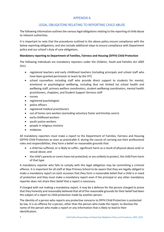# APPENDIX A

# LEGAL OBLIGATONS RELATING TO REPORTING CHILD ABUSE

The following information outlines the various legal obligations relating to the reporting of child abuse to relevant authorities.

It is important to note that the procedures outlined in the above policy ensure compliance with the below reporting obligations, and also include additional steps to ensure compliance with Department policy and our school's duty of care obligations.

## **Mandatory reporting to Department of Families, Fairness and Housing (DFFH) Child Protection**

The following individuals are mandatory reporters under the *Children, Youth and Families Act 2005* (Vic):

- registered teachers and early childhood teachers (including principals and school staff who have been granted permission to teach by the VIT)
- school counsellors including staff who provide direct support to students for mental, emotional or psychological wellbeing, including (but not limited to) school health and wellbeing staff, primary welfare coordinators, student wellbeing coordinators, mental health practitioners, chaplains, and Student Support Services staff
- nurses
- registered psychologists
- police officers
- registered medical practitioners
- out of home care workers (excluding voluntary foster and kinship carers)
- early childhood workers
- youth justice workers
- people in religious ministry
- midwives

All mandatory reporters must make a report to the Department of Families, Fairness and Housing (DFFH) Child Protection as soon as practicable if, during the course of carrying out their professional roles and responsibilities, they form a belief on reasonable grounds that:

- a child has suffered, or is likely to suffer, significant harm as a result of physical abuse and/ or sexual abuse; and
- the child's parents or carers have not protected, or are unlikely to protect, the child from harm of that type.

A mandatory reporter who fails to comply with this legal obligation may be committing a criminal offence. It is important for all staff at Skye Primary School to be aware that they are legally obliged to make a mandatory report on each occasion that they form a reasonable belief that a child is in need of protection and they must make a mandatory report even if the principal or any other mandatory reporter does not share their belief that a report is necessary.

If charged with not making a mandatory report, it may be a defence for the person charged to prove that they honestly and reasonably believed that all of the reasonable grounds for their belief had been the subject of a report to child protection made by another person.

The identity of a person who reports any protective concerns to DFFH Child Protection is protected by law. It is an offence for a person, other than the person who made the report, to disclose the name of the person who made a report or any information that is likely to lead to their identification.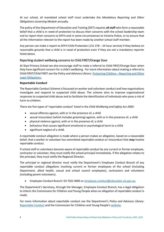At our school, all mandated school staff must undertake the *Mandatory Reporting and Other Obligations eLearning Module* annually.

The policy of the Department of Education and Training (DET) requires **all staff** who form a reasonable belief that a child is in need of protection to discuss their concerns with the school leadership team and to report their concerns to DFFH and in some circumstances to Victoria Police, or to ensure that all the information relevant to the report has been made by another school staff member.

Any person can make a report to DFFH Child Protection (131 278 – 24 hour service) if they believe on reasonable grounds that a child is in need of protection even if they are not a mandatory reporter listed above.

## Reporting student wellbeing concerns to Child FIRST/Orange Door

At Skye Primary School we also encourage staff to make a referral to Child FIRST/Orange Door when they have significant concern for a child's wellbeing. For more information about making a referral to Child FIRST/Child FIRST see the Policy and Advisory Library: Protecting Children – [Reporting and Other](https://www2.education.vic.gov.au/pal/protecting-children/policy)  [Legal Obligations](https://www2.education.vic.gov.au/pal/protecting-children/policy).

## **Reportable Conduct**

The Reportable Conduct Scheme is focussed on worker and volunteer conduct and how organisations investigate and respond to suspected child abuse. The scheme aims to improve organisational responses to suspected child abuse and to facilitate the identification of individuals who pose a risk of harm to children.

There are five types of 'reportable conduct' listed in the *Child Wellbeing and Safety Act 2005:*

- sexual offences against, with or in the presence of, a child
- sexual misconduct (which includes grooming) against, with or in the presence of, a child
- physical violence against, with or in the presence of, a child
- behaviour that causes significant emotional or psychological harm to a child
- significant neglect of a child.

A reportable conduct allegation is made where a person makes an allegation, based on a reasonable belief, that a worker or volunteer has committed reportable conduct or misconduct that *may* involve reportable conduct.

If school staff or volunteers become aware of reportable conduct by any current or former employee, contractor or volunteer, they must notify the school principal immediately. If the allegation relates to the principal, they must notify the Regional Director.

The principal or regional director must notify the Department's Employee Conduct Branch of any reportable conduct allegations involving current or former employees of the school (including Department, allied health, casual and school council employees), contractors and volunteers (including parent volunteers).

• Employee Conduct Branch: 03 7022 0005 o[r employee.conduct@education.vic.gov.au](mailto:employee.conduct@education.vic.gov.au)

The Department's Secretary, through the Manager, Employee Conduct Branch, has a legal obligation to inform the Commission for Children and Young People when an allegation of reportable conduct is made.

For more information about reportable conduct see the Department's *Policy and Advisory Library*: [Reportable Conduct](https://www2.education.vic.gov.au/pal/reportable-conduct-scheme/policy) and the Commission for Children and Young People's [website.](https://ccyp.vic.gov.au/reportable-conduct-scheme/)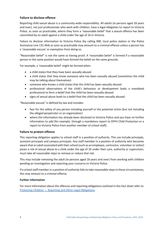## **Failure to disclose offence**

Reporting child sexual abuse is a community-wide responsibility. All adults (ie persons aged 18 years and over), not just professionals who work with children, have a legal obligation to report to Victoria Police, as soon as practicable, where they form a 'reasonable belief' that a sexual offence has been committed by an adult against a child under the age of 16 in Victoria.

Failure to disclose information to Victoria Police (by calling 000, local police station or the Police Assistance Line 131 444) as soon as practicable may amount to a criminal offence unless a person has a 'reasonable excuse' or exemption from doing so.

"Reasonable belief" is not the same as having proof. A 'reasonable belief' is formed if a reasonable person in the same position would have formed the belief on the same grounds.

For example, a 'reasonable belief' might be formed when:

- a child states that they have been sexually abused
- a child states that they know someone who has been sexually abused (sometimes the child may be talking about themselves)
- someone who knows a child states that the child has been sexually abused
- professional observations of the child's behaviour or development leads a mandated professional to form a belief that the child has been sexually abused
- signs of sexual abuse leads to a belief that the child has been sexually abused.

"Reasonable excuse" is defined by law and includes:

- fear for the safety of any person including yourself or the potential victim (but not including the alleged perpetrator or an organisation)
- where the information has already been disclosed to Victoria Police and you have no further information to add (for example, through a mandatory report to DFFH Child Protection or a report to Victoria Police from another member of school staff).

## **Failure to protect offence**

This reporting obligation applies to school staff in a position of authority. This can include principals, assistant principals and campus principals. Any staff member in a position of authority who becomes aware that an adult associated with their school (such as an employee, contractor, volunteer or visitor) poses a risk of sexual abuse to a child under the age of 16 under their care, authority or supervision, must take all reasonable steps to remove or reduce that risk.

This may include removing the adult (ie persons aged 18 years and over) from working with children pending an investigation and reporting your concerns to Victoria Police.

If a school staff member in a position of authority fails to take reasonable steps in these circumstances, this may amount to a criminal offence.

#### **Further information**

For more information about the offences and reporting obligations outlined in this fact sheet refer to: Protecting Children — [Reporting and Other Legal Obligations.](https://www2.education.vic.gov.au/pal/protecting-children/policy)